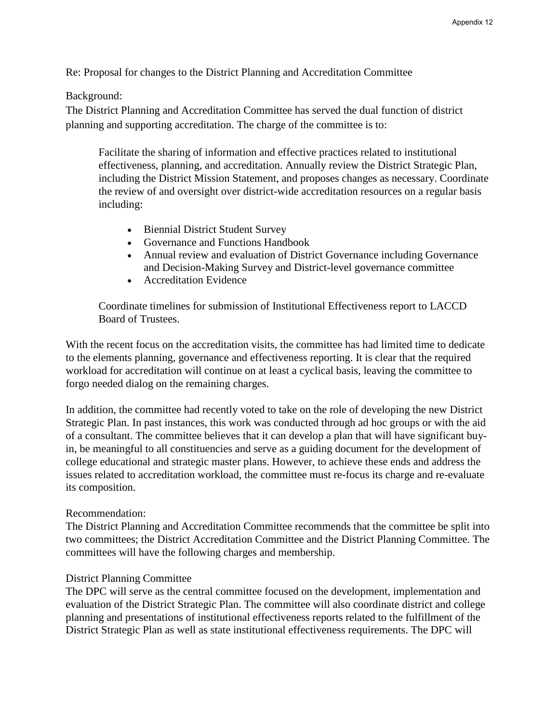Re: Proposal for changes to the District Planning and Accreditation Committee

## Background:

The District Planning and Accreditation Committee has served the dual function of district planning and supporting accreditation. The charge of the committee is to:

Facilitate the sharing of information and effective practices related to institutional effectiveness, planning, and accreditation. Annually review the District Strategic Plan, including the District Mission Statement, and proposes changes as necessary. Coordinate the review of and oversight over district-wide accreditation resources on a regular basis including:

- Biennial District Student Survey
- Governance and Functions Handbook
- Annual review and evaluation of District Governance including Governance and Decision-Making Survey and District-level governance committee
- Accreditation Evidence

Coordinate timelines for submission of Institutional Effectiveness report to LACCD Board of Trustees.

With the recent focus on the accreditation visits, the committee has had limited time to dedicate to the elements planning, governance and effectiveness reporting. It is clear that the required workload for accreditation will continue on at least a cyclical basis, leaving the committee to forgo needed dialog on the remaining charges.

In addition, the committee had recently voted to take on the role of developing the new District Strategic Plan. In past instances, this work was conducted through ad hoc groups or with the aid of a consultant. The committee believes that it can develop a plan that will have significant buyin, be meaningful to all constituencies and serve as a guiding document for the development of college educational and strategic master plans. However, to achieve these ends and address the issues related to accreditation workload, the committee must re-focus its charge and re-evaluate its composition.

## Recommendation:

The District Planning and Accreditation Committee recommends that the committee be split into two committees; the District Accreditation Committee and the District Planning Committee. The committees will have the following charges and membership.

## District Planning Committee

The DPC will serve as the central committee focused on the development, implementation and evaluation of the District Strategic Plan. The committee will also coordinate district and college planning and presentations of institutional effectiveness reports related to the fulfillment of the District Strategic Plan as well as state institutional effectiveness requirements. The DPC will